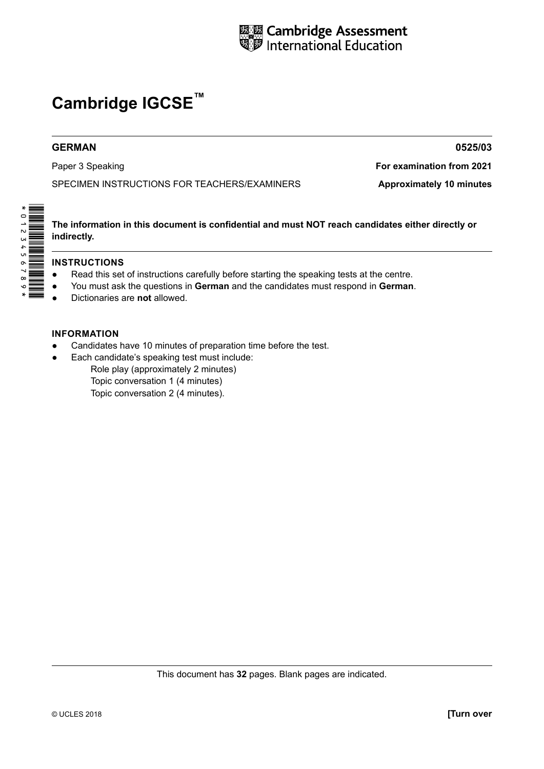

# **Cambridge IGCSE™**

#### **GERMAN 0525/03**

SPECIMEN INSTRUCTIONS FOR TEACHERS/EXAMINERS **Approximately 10 minutes** 

Paper 3 Speaking **For examination from 2021**

**The information in this document is confidential and must NOT reach candidates either directly or indirectly.**

#### **INSTRUCTIONS**

\*0123456789\*

- Read this set of instructions carefully before starting the speaking tests at the centre.
- You must ask the questions in German and the candidates must respond in German.
- Dictionaries are **not** allowed.

#### **INFORMATION**

- Candidates have 10 minutes of preparation time before the test.
- Each candidate's speaking test must include: Role play (approximately 2 minutes) Topic conversation 1 (4 minutes)

Topic conversation 2 (4 minutes).

This document has **32** pages. Blank pages are indicated.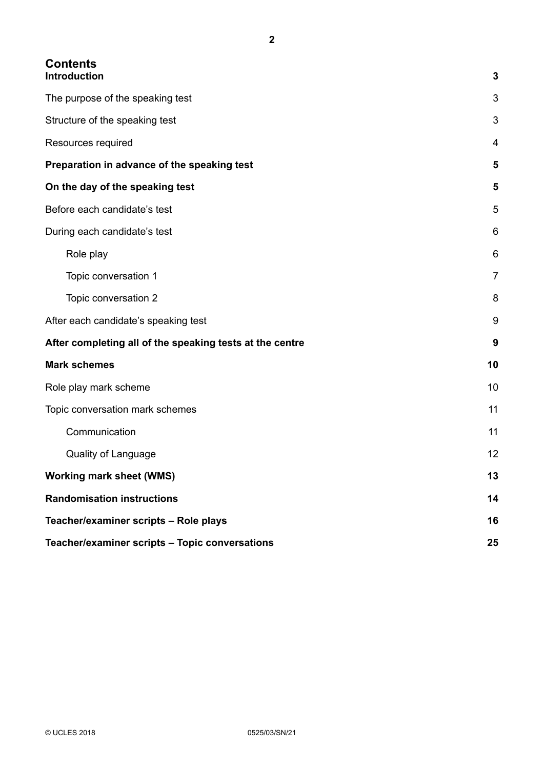# **Contents**

| Introduction                                             | 3              |
|----------------------------------------------------------|----------------|
| The purpose of the speaking test                         | 3              |
| Structure of the speaking test                           | 3              |
| Resources required                                       | 4              |
| Preparation in advance of the speaking test              | 5              |
| On the day of the speaking test                          | 5              |
| Before each candidate's test                             | 5              |
| During each candidate's test                             | 6              |
| Role play                                                | 6              |
| Topic conversation 1                                     | $\overline{7}$ |
| Topic conversation 2                                     | 8              |
| After each candidate's speaking test                     | 9              |
| After completing all of the speaking tests at the centre | 9              |
| <b>Mark schemes</b>                                      | 10             |
| Role play mark scheme                                    | 10             |
| Topic conversation mark schemes                          | 11             |
| Communication                                            | 11             |
| <b>Quality of Language</b>                               | 12             |
| <b>Working mark sheet (WMS)</b>                          | 13             |
| <b>Randomisation instructions</b>                        | 14             |
| Teacher/examiner scripts - Role plays                    | 16             |
| Teacher/examiner scripts - Topic conversations           | 25             |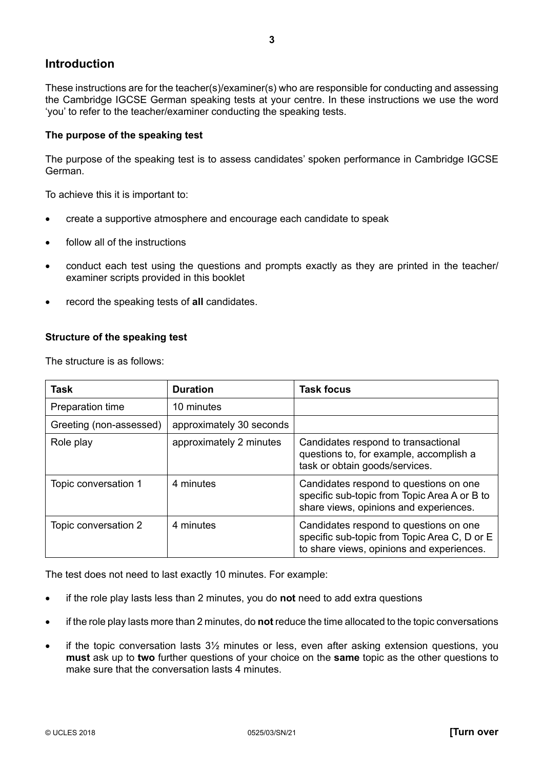#### <span id="page-2-0"></span>**Introduction**

These instructions are for the teacher(s)/examiner(s) who are responsible for conducting and assessing the Cambridge IGCSE German speaking tests at your centre. In these instructions we use the word 'you' to refer to the teacher/examiner conducting the speaking tests.

#### **The purpose of the speaking test**

The purpose of the speaking test is to assess candidates' spoken performance in Cambridge IGCSE German.

To achieve this it is important to:

- create a supportive atmosphere and encourage each candidate to speak
- follow all of the instructions
- conduct each test using the questions and prompts exactly as they are printed in the teacher/ examiner scripts provided in this booklet
- record the speaking tests of **all** candidates.

#### **Structure of the speaking test**

The structure is as follows:

| <b>Task</b>             | <b>Duration</b>          | <b>Task focus</b>                                                                                                                   |
|-------------------------|--------------------------|-------------------------------------------------------------------------------------------------------------------------------------|
| Preparation time        | 10 minutes               |                                                                                                                                     |
| Greeting (non-assessed) | approximately 30 seconds |                                                                                                                                     |
| Role play               | approximately 2 minutes  | Candidates respond to transactional<br>questions to, for example, accomplish a<br>task or obtain goods/services.                    |
| Topic conversation 1    | 4 minutes                | Candidates respond to questions on one<br>specific sub-topic from Topic Area A or B to<br>share views, opinions and experiences.    |
| Topic conversation 2    | 4 minutes                | Candidates respond to questions on one<br>specific sub-topic from Topic Area C, D or E<br>to share views, opinions and experiences. |

The test does not need to last exactly 10 minutes. For example:

- if the role play lasts less than 2 minutes, you do **not** need to add extra questions
- if the role play lasts more than 2 minutes, do **not** reduce the time allocated to the topic conversations
- if the topic conversation lasts  $3\frac{1}{2}$  minutes or less, even after asking extension questions, you **must** ask up to **two** further questions of your choice on the **same** topic as the other questions to make sure that the conversation lasts 4 minutes.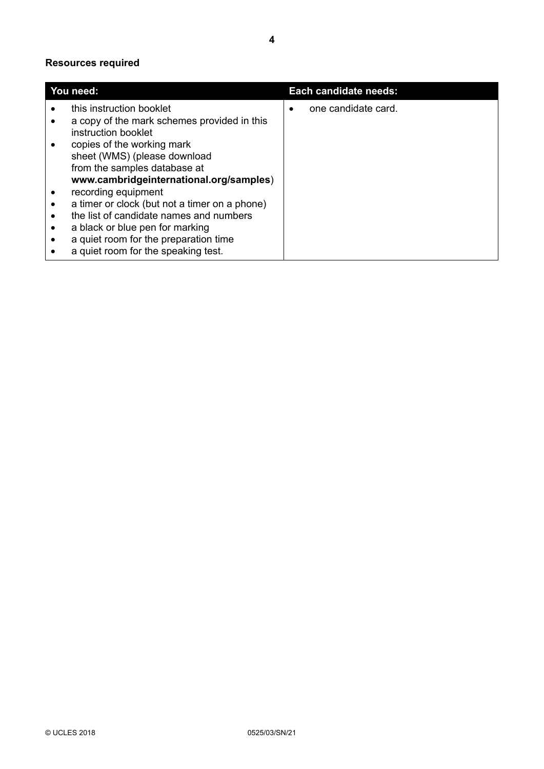#### <span id="page-3-0"></span>**Resources required**

|           | You need:                                                          |   | Each candidate needs: |
|-----------|--------------------------------------------------------------------|---|-----------------------|
|           | this instruction booklet                                           | ٠ | one candidate card.   |
|           | a copy of the mark schemes provided in this<br>instruction booklet |   |                       |
|           | copies of the working mark                                         |   |                       |
|           | sheet (WMS) (please download                                       |   |                       |
|           | from the samples database at                                       |   |                       |
|           | www.cambridgeinternational.org/samples)                            |   |                       |
|           | recording equipment                                                |   |                       |
|           | a timer or clock (but not a timer on a phone)                      |   |                       |
|           | the list of candidate names and numbers                            |   |                       |
| $\bullet$ | a black or blue pen for marking                                    |   |                       |
| $\bullet$ | a quiet room for the preparation time                              |   |                       |
|           | a quiet room for the speaking test.                                |   |                       |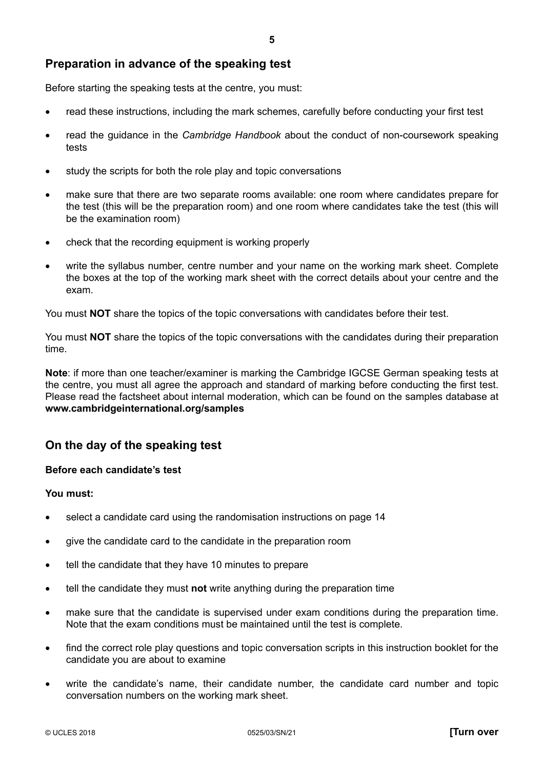#### <span id="page-4-0"></span>**Preparation in advance of the speaking test**

Before starting the speaking tests at the centre, you must:

- read these instructions, including the mark schemes, carefully before conducting your first test
- read the guidance in the *Cambridge Handbook* about the conduct of non-coursework speaking tests
- study the scripts for both the role play and topic conversations
- make sure that there are two separate rooms available: one room where candidates prepare for the test (this will be the preparation room) and one room where candidates take the test (this will be the examination room)
- check that the recording equipment is working properly
- write the syllabus number, centre number and your name on the working mark sheet. Complete the boxes at the top of the working mark sheet with the correct details about your centre and the exam.

You must **NOT** share the topics of the topic conversations with candidates before their test.

You must **NOT** share the topics of the topic conversations with the candidates during their preparation time.

**Note**: if more than one teacher/examiner is marking the Cambridge IGCSE German speaking tests at the centre, you must all agree the approach and standard of marking before conducting the first test. Please read the factsheet about internal moderation, which can be found on the samples database at **www.cambridgeinternational.org/samples**

#### **On the day of the speaking test**

#### **Before each candidate's test**

#### **You must:**

- select a candidate card using the randomisation instructions on page 14
- give the candidate card to the candidate in the preparation room
- tell the candidate that they have 10 minutes to prepare
- tell the candidate they must **not** write anything during the preparation time
- make sure that the candidate is supervised under exam conditions during the preparation time. Note that the exam conditions must be maintained until the test is complete.
- find the correct role play questions and topic conversation scripts in this instruction booklet for the candidate you are about to examine
- write the candidate's name, their candidate number, the candidate card number and topic conversation numbers on the working mark sheet.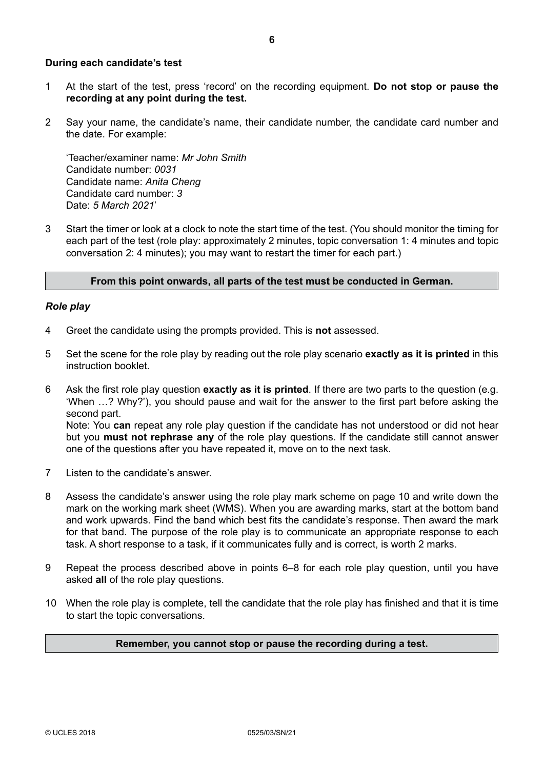#### <span id="page-5-0"></span>**During each candidate's test**

- 1 At the start of the test, press 'record' on the recording equipment. **Do not stop or pause the recording at any point during the test.**
- 2 Say your name, the candidate's name, their candidate number, the candidate card number and the date. For example:

'Teacher/examiner name: *Mr John Smith* Candidate number: *0031* Candidate name: *Anita Cheng* Candidate card number: *3* Date: *5 March 2021*'

3 Start the timer or look at a clock to note the start time of the test. (You should monitor the timing for each part of the test (role play: approximately 2 minutes, topic conversation 1: 4 minutes and topic conversation 2: 4 minutes); you may want to restart the timer for each part.)

#### **From this point onwards, all parts of the test must be conducted in German.**

#### *Role play*

- 4 Greet the candidate using the prompts provided. This is **not** assessed.
- 5 Set the scene for the role play by reading out the role play scenario **exactly as it is printed** in this instruction booklet.
- 6 Ask the first role play question **exactly as it is printed**. If there are two parts to the question (e.g. 'When …? Why?'), you should pause and wait for the answer to the first part before asking the second part. Note: You **can** repeat any role play question if the candidate has not understood or did not hear but you **must not rephrase any** of the role play questions. If the candidate still cannot answer one of the questions after you have repeated it, move on to the next task.
- 7 Listen to the candidate's answer.
- 8 Assess the candidate's answer using the role play mark scheme on page 10 and write down the mark on the working mark sheet (WMS). When you are awarding marks, start at the bottom band and work upwards. Find the band which best fits the candidate's response. Then award the mark for that band. The purpose of the role play is to communicate an appropriate response to each task. A short response to a task, if it communicates fully and is correct, is worth 2 marks.
- 9 Repeat the process described above in points 6–8 for each role play question, until you have asked **all** of the role play questions.
- 10 When the role play is complete, tell the candidate that the role play has finished and that it is time to start the topic conversations.

#### **Remember, you cannot stop or pause the recording during a test.**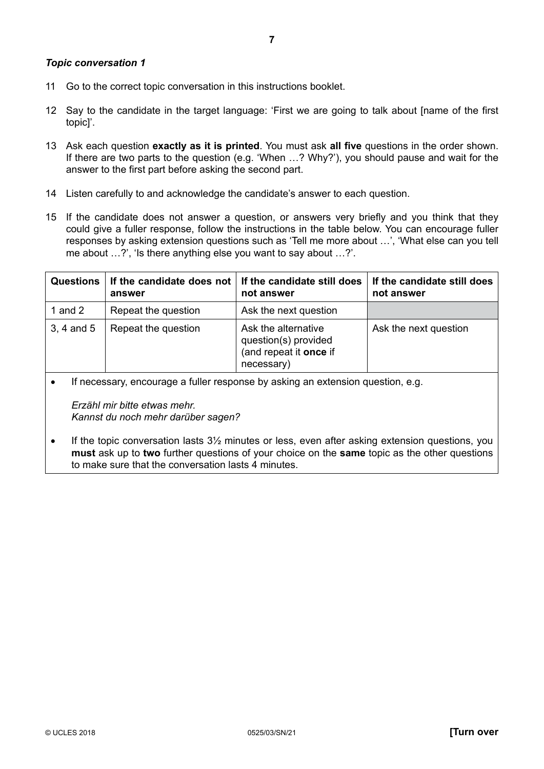#### <span id="page-6-0"></span>*Topic conversation 1*

- 11 Go to the correct topic conversation in this instructions booklet.
- 12 Say to the candidate in the target language: 'First we are going to talk about [name of the first topic]'.
- 13 Ask each question **exactly as it is printed**. You must ask **all five** questions in the order shown. If there are two parts to the question (e.g. 'When …? Why?'), you should pause and wait for the answer to the first part before asking the second part.
- 14 Listen carefully to and acknowledge the candidate's answer to each question.
- 15 If the candidate does not answer a question, or answers very briefly and you think that they could give a fuller response, follow the instructions in the table below. You can encourage fuller responses by asking extension questions such as 'Tell me more about …', 'What else can you tell me about …?', 'Is there anything else you want to say about …?'.

| <b>Questions</b> | If the candidate does not  <br>answer | If the candidate still does<br>not answer                                           | If the candidate still does<br>not answer |
|------------------|---------------------------------------|-------------------------------------------------------------------------------------|-------------------------------------------|
| 1 and 2          | Repeat the question                   | Ask the next question                                                               |                                           |
| 3, 4 and 5       | Repeat the question                   | Ask the alternative<br>question(s) provided<br>(and repeat it once if<br>necessary) | Ask the next question                     |

• If necessary, encourage a fuller response by asking an extension question, e.g.

*Erzähl mir bitte etwas mehr. Kannst du noch mehr darüber sagen?*

• If the topic conversation lasts 31/2 minutes or less, even after asking extension questions, you **must** ask up to **two** further questions of your choice on the **same** topic as the other questions to make sure that the conversation lasts 4 minutes.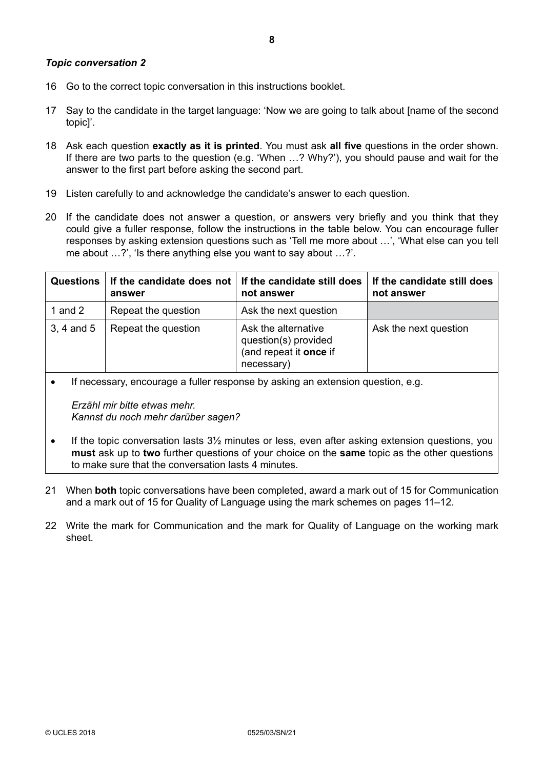- <span id="page-7-0"></span>16 Go to the correct topic conversation in this instructions booklet.
- 17 Say to the candidate in the target language: 'Now we are going to talk about [name of the second topic]'.
- 18 Ask each question **exactly as it is printed**. You must ask **all five** questions in the order shown. If there are two parts to the question (e.g. 'When …? Why?'), you should pause and wait for the answer to the first part before asking the second part.
- 19 Listen carefully to and acknowledge the candidate's answer to each question.
- 20 If the candidate does not answer a question, or answers very briefly and you think that they could give a fuller response, follow the instructions in the table below. You can encourage fuller responses by asking extension questions such as 'Tell me more about …', 'What else can you tell me about …?', 'Is there anything else you want to say about …?'.

| <b>Questions</b> | If the candidate does not<br>answer | If the candidate still does<br>not answer                                           | If the candidate still does<br>not answer |
|------------------|-------------------------------------|-------------------------------------------------------------------------------------|-------------------------------------------|
| 1 and $2$        | Repeat the question                 | Ask the next question                                                               |                                           |
| $3, 4$ and $5$   | Repeat the question                 | Ask the alternative<br>question(s) provided<br>(and repeat it once if<br>necessary) | Ask the next question                     |

• If necessary, encourage a fuller response by asking an extension question, e.g.

*Erzähl mir bitte etwas mehr. Kannst du noch mehr darüber sagen?*

- $\bullet$  If the topic conversation lasts  $3\frac{1}{2}$  minutes or less, even after asking extension questions, you **must** ask up to **two** further questions of your choice on the **same** topic as the other questions to make sure that the conversation lasts 4 minutes.
- 21 When **both** topic conversations have been completed, award a mark out of 15 for Communication and a mark out of 15 for Quality of Language using the mark schemes on pages 11–12.
- 22 Write the mark for Communication and the mark for Quality of Language on the working mark sheet.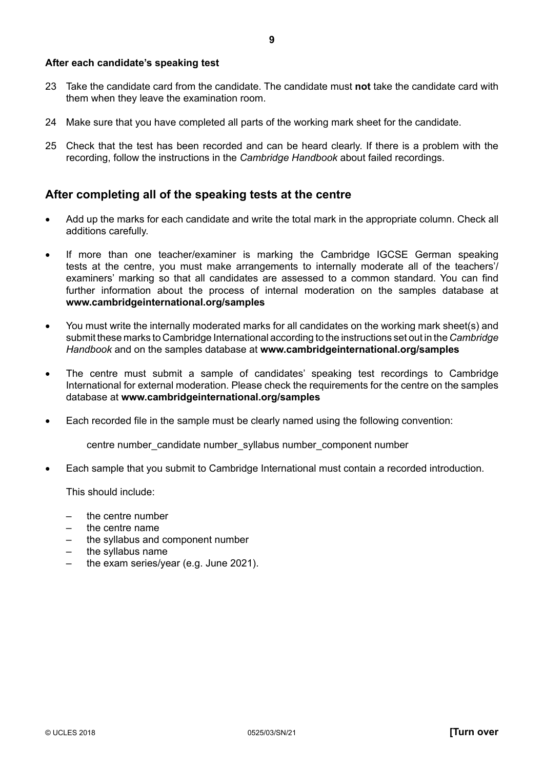#### <span id="page-8-0"></span>**After each candidate's speaking test**

- 23 Take the candidate card from the candidate. The candidate must **not** take the candidate card with them when they leave the examination room.
- 24 Make sure that you have completed all parts of the working mark sheet for the candidate.
- 25 Check that the test has been recorded and can be heard clearly. If there is a problem with the recording, follow the instructions in the *Cambridge Handbook* about failed recordings.

#### **After completing all of the speaking tests at the centre**

- Add up the marks for each candidate and write the total mark in the appropriate column. Check all additions carefully.
- If more than one teacher/examiner is marking the Cambridge IGCSE German speaking tests at the centre, you must make arrangements to internally moderate all of the teachers'/ examiners' marking so that all candidates are assessed to a common standard. You can find further information about the process of internal moderation on the samples database at **www.cambridgeinternational.org/samples**
- You must write the internally moderated marks for all candidates on the working mark sheet(s) and submit these marks to Cambridge International according to the instructions set out in the *Cambridge Handbook* and on the samples database at **www.cambridgeinternational.org/samples**
- The centre must submit a sample of candidates' speaking test recordings to Cambridge International for external moderation. Please check the requirements for the centre on the samples database at **www.cambridgeinternational.org/samples**
- Each recorded file in the sample must be clearly named using the following convention:

centre number\_candidate number\_syllabus number\_component number

• Each sample that you submit to Cambridge International must contain a recorded introduction.

This should include:

- the centre number
- the centre name
- the syllabus and component number
- the syllabus name
- the exam series/year (e.g. June 2021).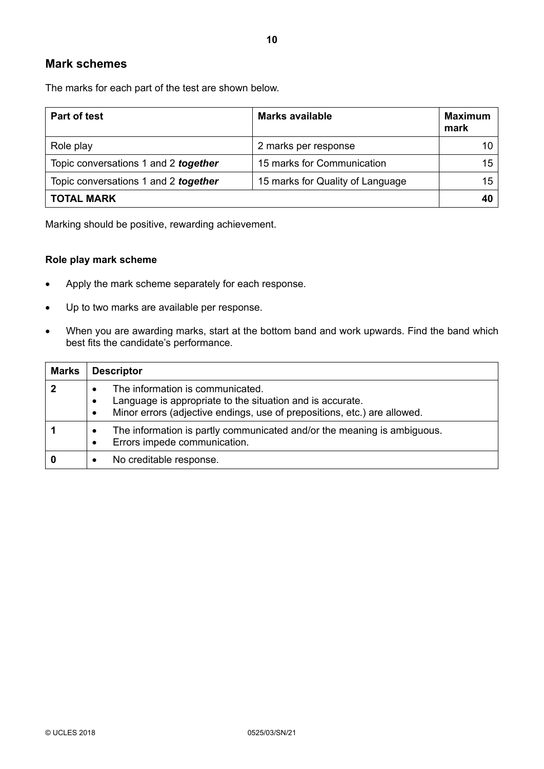#### <span id="page-9-0"></span>**Mark schemes**

The marks for each part of the test are shown below.

| <b>Part of test</b>                  | <b>Marks available</b>           | <b>Maximum</b><br>mark |
|--------------------------------------|----------------------------------|------------------------|
| Role play                            | 2 marks per response             |                        |
| Topic conversations 1 and 2 together | 15 marks for Communication       | 15                     |
| Topic conversations 1 and 2 together | 15 marks for Quality of Language | 15                     |
| <b>TOTAL MARK</b>                    |                                  | 40                     |

Marking should be positive, rewarding achievement.

#### **Role play mark scheme**

- Apply the mark scheme separately for each response.
- Up to two marks are available per response.
- When you are awarding marks, start at the bottom band and work upwards. Find the band which best fits the candidate's performance.

| <b>Marks</b> | <b>Descriptor</b>                                                                                                                                                                                   |
|--------------|-----------------------------------------------------------------------------------------------------------------------------------------------------------------------------------------------------|
| $\mathbf{2}$ | The information is communicated.<br>Language is appropriate to the situation and is accurate.<br>$\bullet$<br>Minor errors (adjective endings, use of prepositions, etc.) are allowed.<br>$\bullet$ |
|              | The information is partly communicated and/or the meaning is ambiguous.<br>Errors impede communication.<br>$\bullet$                                                                                |
| 0            | No creditable response.                                                                                                                                                                             |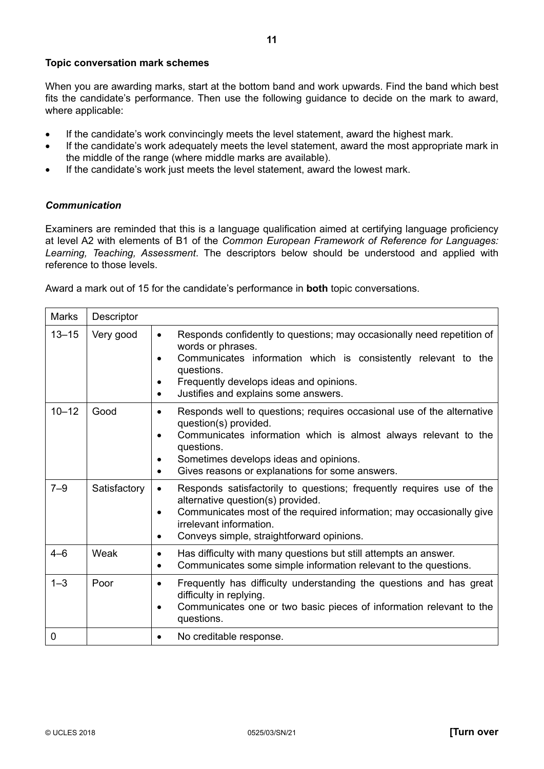#### <span id="page-10-0"></span>**Topic conversation mark schemes**

When you are awarding marks, start at the bottom band and work upwards. Find the band which best fits the candidate's performance. Then use the following guidance to decide on the mark to award, where applicable:

- If the candidate's work convincingly meets the level statement, award the highest mark.
- If the candidate's work adequately meets the level statement, award the most appropriate mark in the middle of the range (where middle marks are available).
- If the candidate's work just meets the level statement, award the lowest mark.

#### *Communication*

Examiners are reminded that this is a language qualification aimed at certifying language proficiency at level A2 with elements of B1 of the *Common European Framework of Reference for Languages: Learning, Teaching, Assessment*. The descriptors below should be understood and applied with reference to those levels.

Award a mark out of 15 for the candidate's performance in **both** topic conversations.

| Marks       | Descriptor   |                                                                                                                                                                                                                                                                                     |  |
|-------------|--------------|-------------------------------------------------------------------------------------------------------------------------------------------------------------------------------------------------------------------------------------------------------------------------------------|--|
| $13 - 15$   | Very good    | Responds confidently to questions; may occasionally need repetition of<br>$\bullet$<br>words or phrases.<br>Communicates information which is consistently relevant to the<br>questions.<br>Frequently develops ideas and opinions.<br>Justifies and explains some answers.         |  |
| $10 - 12$   | Good         | Responds well to questions; requires occasional use of the alternative<br>question(s) provided.<br>Communicates information which is almost always relevant to the<br>questions.<br>Sometimes develops ideas and opinions.<br>Gives reasons or explanations for some answers.       |  |
| $7 - 9$     | Satisfactory | Responds satisfactorily to questions; frequently requires use of the<br>$\bullet$<br>alternative question(s) provided.<br>Communicates most of the required information; may occasionally give<br>irrelevant information.<br>Conveys simple, straightforward opinions.<br>$\bullet$ |  |
| $4 - 6$     | Weak         | Has difficulty with many questions but still attempts an answer.<br>$\bullet$<br>Communicates some simple information relevant to the questions.<br>$\bullet$                                                                                                                       |  |
| $1 - 3$     | Poor         | Frequently has difficulty understanding the questions and has great<br>$\bullet$<br>difficulty in replying.<br>Communicates one or two basic pieces of information relevant to the<br>questions.                                                                                    |  |
| $\mathbf 0$ |              | No creditable response.<br>$\bullet$                                                                                                                                                                                                                                                |  |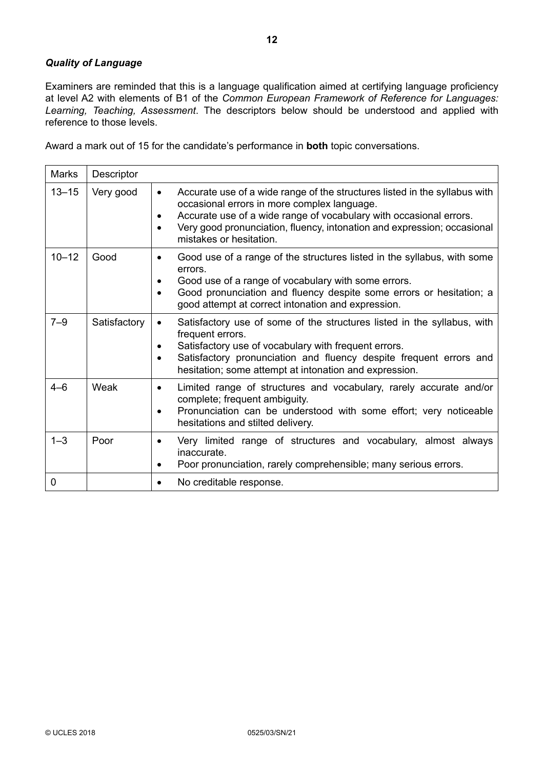#### <span id="page-11-0"></span>*Quality of Language*

Examiners are reminded that this is a language qualification aimed at certifying language proficiency at level A2 with elements of B1 of the *Common European Framework of Reference for Languages: Learning, Teaching, Assessment*. The descriptors below should be understood and applied with reference to those levels.

Award a mark out of 15 for the candidate's performance in **both** topic conversations.

| <b>Marks</b> | Descriptor   |                                                                                                                                                                                                                                                                                                       |
|--------------|--------------|-------------------------------------------------------------------------------------------------------------------------------------------------------------------------------------------------------------------------------------------------------------------------------------------------------|
| $13 - 15$    | Very good    | Accurate use of a wide range of the structures listed in the syllabus with<br>occasional errors in more complex language.<br>Accurate use of a wide range of vocabulary with occasional errors.<br>Very good pronunciation, fluency, intonation and expression; occasional<br>mistakes or hesitation. |
| $10 - 12$    | Good         | Good use of a range of the structures listed in the syllabus, with some<br>errors.<br>Good use of a range of vocabulary with some errors.<br>Good pronunciation and fluency despite some errors or hesitation; a<br>good attempt at correct intonation and expression.                                |
| $7 - 9$      | Satisfactory | Satisfactory use of some of the structures listed in the syllabus, with<br>frequent errors.<br>Satisfactory use of vocabulary with frequent errors.<br>Satisfactory pronunciation and fluency despite frequent errors and<br>hesitation; some attempt at intonation and expression.                   |
| $4 - 6$      | Weak         | Limited range of structures and vocabulary, rarely accurate and/or<br>complete; frequent ambiguity.<br>Pronunciation can be understood with some effort; very noticeable<br>hesitations and stilted delivery.                                                                                         |
| $1 - 3$      | Poor         | Very limited range of structures and vocabulary, almost always<br>inaccurate.<br>Poor pronunciation, rarely comprehensible; many serious errors.                                                                                                                                                      |
| 0            |              | No creditable response.                                                                                                                                                                                                                                                                               |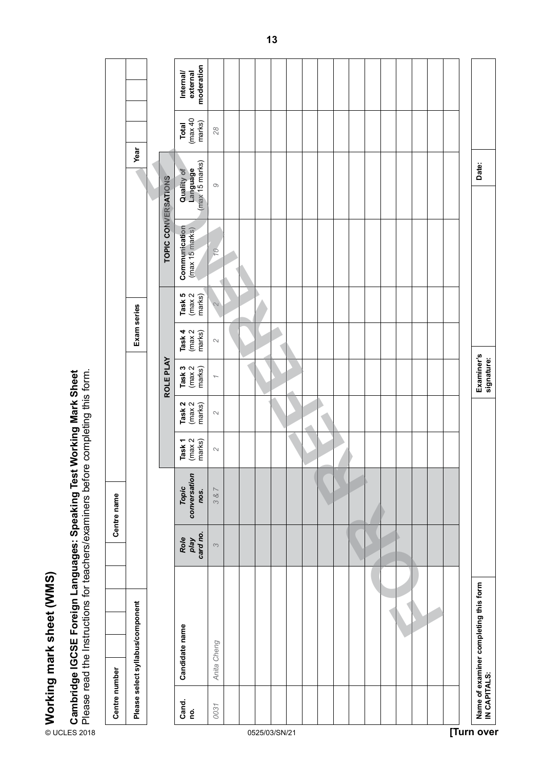<span id="page-12-0"></span>

| Role<br>play<br>card no.<br>$\infty$ | Please select syllabus/component<br>Candidate name<br>Anita Cheng<br>Centre number<br>Cand.<br>no.<br>0031 |
|--------------------------------------|------------------------------------------------------------------------------------------------------------|
|                                      |                                                                                                            |
|                                      |                                                                                                            |
|                                      |                                                                                                            |
|                                      |                                                                                                            |
|                                      |                                                                                                            |
|                                      |                                                                                                            |
|                                      |                                                                                                            |
|                                      |                                                                                                            |
|                                      |                                                                                                            |
|                                      |                                                                                                            |
|                                      |                                                                                                            |
|                                      |                                                                                                            |
|                                      |                                                                                                            |
|                                      |                                                                                                            |
|                                      |                                                                                                            |
|                                      |                                                                                                            |
|                                      |                                                                                                            |
|                                      |                                                                                                            |
|                                      |                                                                                                            |
|                                      |                                                                                                            |
|                                      |                                                                                                            |
|                                      |                                                                                                            |
|                                      | Name of examiner completing this form<br>IN CAPITALS:                                                      |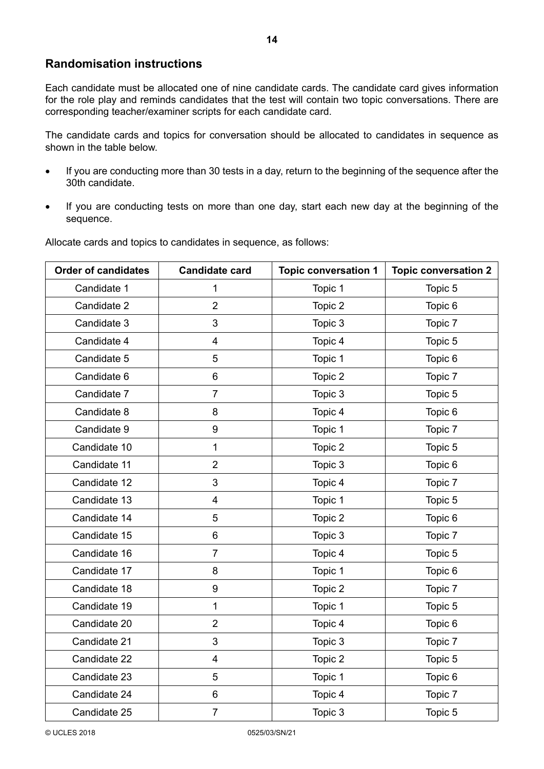#### <span id="page-13-0"></span>**Randomisation instructions**

Each candidate must be allocated one of nine candidate cards. The candidate card gives information for the role play and reminds candidates that the test will contain two topic conversations. There are corresponding teacher/examiner scripts for each candidate card.

The candidate cards and topics for conversation should be allocated to candidates in sequence as shown in the table below.

- If you are conducting more than 30 tests in a day, return to the beginning of the sequence after the 30th candidate.
- If you are conducting tests on more than one day, start each new day at the beginning of the sequence.

| <b>Order of candidates</b> | <b>Candidate card</b> | <b>Topic conversation 1</b> | <b>Topic conversation 2</b> |
|----------------------------|-----------------------|-----------------------------|-----------------------------|
| Candidate 1                | 1                     | Topic 1                     | Topic 5                     |
| Candidate 2                | $\overline{2}$        | Topic 2                     | Topic 6                     |
| Candidate 3                | 3                     | Topic 3                     | Topic 7                     |
| Candidate 4                | 4                     | Topic 4                     | Topic 5                     |
| Candidate 5                | 5                     | Topic 1                     | Topic 6                     |
| Candidate 6                | 6                     | Topic 2                     | Topic 7                     |
| Candidate 7                | $\overline{7}$        | Topic 3                     | Topic 5                     |
| Candidate 8                | 8                     | Topic 4                     | Topic 6                     |
| Candidate 9                | 9                     | Topic 1                     | Topic 7                     |
| Candidate 10               | $\mathbf{1}$          | Topic 2                     | Topic 5                     |
| Candidate 11               | $\overline{2}$        | Topic 3                     | Topic 6                     |
| Candidate 12               | 3                     | Topic 4                     | Topic 7                     |
| Candidate 13               | $\overline{4}$        | Topic 1                     | Topic 5                     |
| Candidate 14               | 5                     | Topic 2                     | Topic 6                     |
| Candidate 15               | 6                     | Topic 3                     | Topic 7                     |
| Candidate 16               | $\overline{7}$        | Topic 4                     | Topic 5                     |
| Candidate 17               | 8                     | Topic 1                     | Topic 6                     |
| Candidate 18               | 9                     | Topic 2                     | Topic 7                     |
| Candidate 19               | $\mathbf{1}$          | Topic 1                     | Topic 5                     |
| Candidate 20               | $\overline{2}$        | Topic 4                     | Topic 6                     |
| Candidate 21               | 3                     | Topic 3                     | Topic 7                     |
| Candidate 22               | 4                     | Topic 2                     | Topic 5                     |
| Candidate 23               | 5                     | Topic 1                     | Topic 6                     |
| Candidate 24               | 6                     | Topic 4                     | Topic 7                     |
| Candidate 25               | $\overline{7}$        | Topic 3                     | Topic 5                     |

Allocate cards and topics to candidates in sequence, as follows: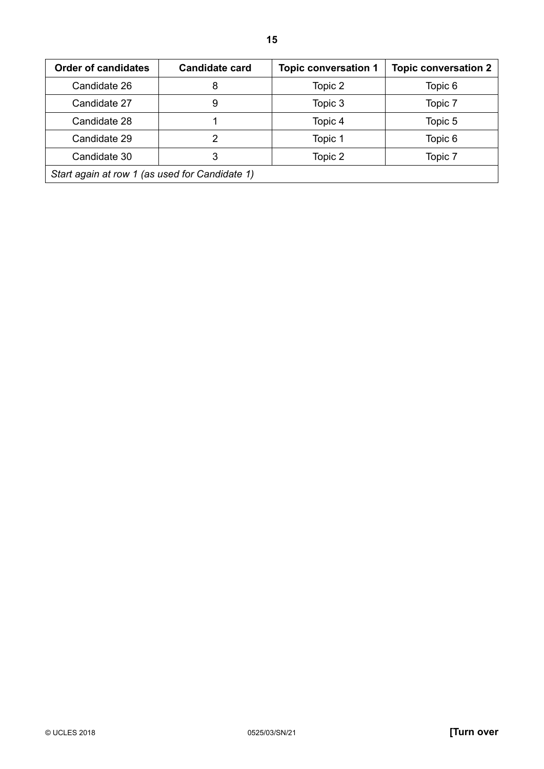| <b>Order of candidates</b>                     | <b>Candidate card</b> | <b>Topic conversation 1</b> | <b>Topic conversation 2</b> |  |
|------------------------------------------------|-----------------------|-----------------------------|-----------------------------|--|
| Candidate 26                                   | 8                     | Topic 2                     | Topic 6                     |  |
| Candidate 27                                   | 9                     | Topic 3                     | Topic 7                     |  |
| Candidate 28                                   |                       | Topic 4                     | Topic 5                     |  |
| Candidate 29                                   | 2                     | Topic 1                     | Topic 6                     |  |
| Candidate 30                                   | 3                     | Topic 2                     | Topic 7                     |  |
| Start again at row 1 (as used for Candidate 1) |                       |                             |                             |  |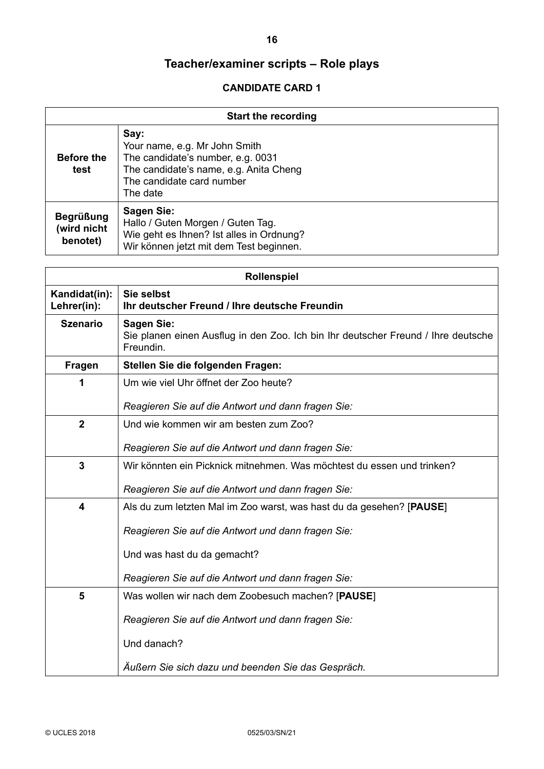<span id="page-15-0"></span>

| <b>Start the recording</b>                  |                                                                                                                                                               |
|---------------------------------------------|---------------------------------------------------------------------------------------------------------------------------------------------------------------|
| <b>Before the</b><br>test                   | Say:<br>Your name, e.g. Mr John Smith<br>The candidate's number, e.g. 0031<br>The candidate's name, e.g. Anita Cheng<br>The candidate card number<br>The date |
| <b>Begrüßung</b><br>(wird nicht<br>benotet) | <b>Sagen Sie:</b><br>Hallo / Guten Morgen / Guten Tag.<br>Wie geht es Ihnen? Ist alles in Ordnung?<br>Wir können jetzt mit dem Test beginnen.                 |

| <b>Rollenspiel</b>           |                                                                                                                     |
|------------------------------|---------------------------------------------------------------------------------------------------------------------|
| Kandidat(in):<br>Lehrer(in): | Sie selbst<br>Ihr deutscher Freund / Ihre deutsche Freundin                                                         |
| <b>Szenario</b>              | <b>Sagen Sie:</b><br>Sie planen einen Ausflug in den Zoo. Ich bin Ihr deutscher Freund / Ihre deutsche<br>Freundin. |
| <b>Fragen</b>                | Stellen Sie die folgenden Fragen:                                                                                   |
| 1                            | Um wie viel Uhr öffnet der Zoo heute?                                                                               |
|                              | Reagieren Sie auf die Antwort und dann fragen Sie:                                                                  |
| $\boldsymbol{2}$             | Und wie kommen wir am besten zum Zoo?                                                                               |
|                              | Reagieren Sie auf die Antwort und dann fragen Sie:                                                                  |
| $\mathbf{3}$                 | Wir könnten ein Picknick mitnehmen. Was möchtest du essen und trinken?                                              |
|                              | Reagieren Sie auf die Antwort und dann fragen Sie:                                                                  |
| $\overline{\mathbf{4}}$      | Als du zum letzten Mal im Zoo warst, was hast du da gesehen? [PAUSE]                                                |
|                              | Reagieren Sie auf die Antwort und dann fragen Sie:                                                                  |
|                              | Und was hast du da gemacht?                                                                                         |
|                              | Reagieren Sie auf die Antwort und dann fragen Sie:                                                                  |
| 5                            | Was wollen wir nach dem Zoobesuch machen? [PAUSE]                                                                   |
|                              | Reagieren Sie auf die Antwort und dann fragen Sie:                                                                  |
|                              | Und danach?                                                                                                         |
|                              | Außern Sie sich dazu und beenden Sie das Gespräch.                                                                  |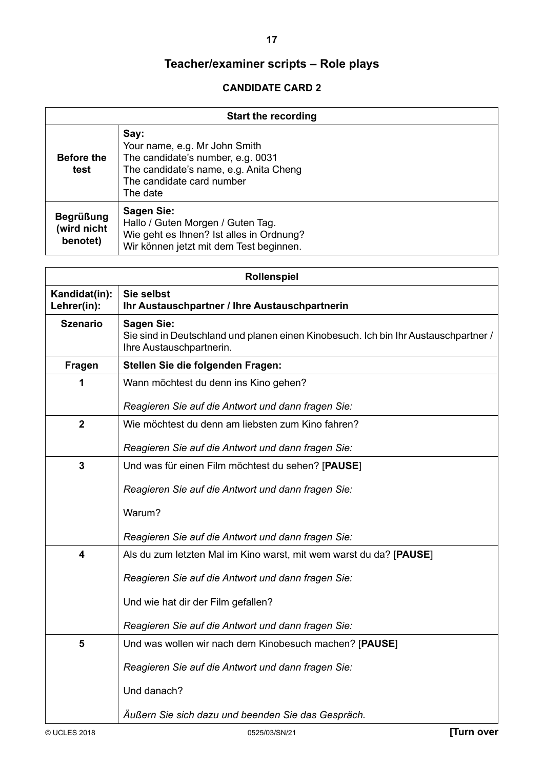**17**

| <b>Start the recording</b>                  |                                                                                                                                                               |
|---------------------------------------------|---------------------------------------------------------------------------------------------------------------------------------------------------------------|
| <b>Before the</b><br>test                   | Say:<br>Your name, e.g. Mr John Smith<br>The candidate's number, e.g. 0031<br>The candidate's name, e.g. Anita Cheng<br>The candidate card number<br>The date |
| <b>Begrüßung</b><br>(wird nicht<br>benotet) | Sagen Sie:<br>Hallo / Guten Morgen / Guten Tag.<br>Wie geht es Ihnen? Ist alles in Ordnung?<br>Wir können jetzt mit dem Test beginnen.                        |

| <b>Rollenspiel</b>           |                                                                                                                                      |
|------------------------------|--------------------------------------------------------------------------------------------------------------------------------------|
| Kandidat(in):<br>Lehrer(in): | Sie selbst<br>Ihr Austauschpartner / Ihre Austauschpartnerin                                                                         |
| <b>Szenario</b>              | <b>Sagen Sie:</b><br>Sie sind in Deutschland und planen einen Kinobesuch. Ich bin Ihr Austauschpartner /<br>Ihre Austauschpartnerin. |
| Fragen                       | Stellen Sie die folgenden Fragen:                                                                                                    |
| 1                            | Wann möchtest du denn ins Kino gehen?                                                                                                |
|                              | Reagieren Sie auf die Antwort und dann fragen Sie:                                                                                   |
| $\overline{2}$               | Wie möchtest du denn am liebsten zum Kino fahren?                                                                                    |
|                              | Reagieren Sie auf die Antwort und dann fragen Sie:                                                                                   |
| $\mathbf{3}$                 | Und was für einen Film möchtest du sehen? [PAUSE]                                                                                    |
|                              | Reagieren Sie auf die Antwort und dann fragen Sie:                                                                                   |
|                              | Warum?                                                                                                                               |
|                              | Reagieren Sie auf die Antwort und dann fragen Sie:                                                                                   |
|                              |                                                                                                                                      |
| $\overline{\mathbf{4}}$      | Als du zum letzten Mal im Kino warst, mit wem warst du da? [PAUSE]                                                                   |
|                              | Reagieren Sie auf die Antwort und dann fragen Sie:                                                                                   |
|                              | Und wie hat dir der Film gefallen?                                                                                                   |
|                              |                                                                                                                                      |
|                              | Reagieren Sie auf die Antwort und dann fragen Sie:                                                                                   |
| 5                            | Und was wollen wir nach dem Kinobesuch machen? [PAUSE]                                                                               |
|                              | Reagieren Sie auf die Antwort und dann fragen Sie:                                                                                   |
|                              | Und danach?                                                                                                                          |
|                              | Äußern Sie sich dazu und beenden Sie das Gespräch.                                                                                   |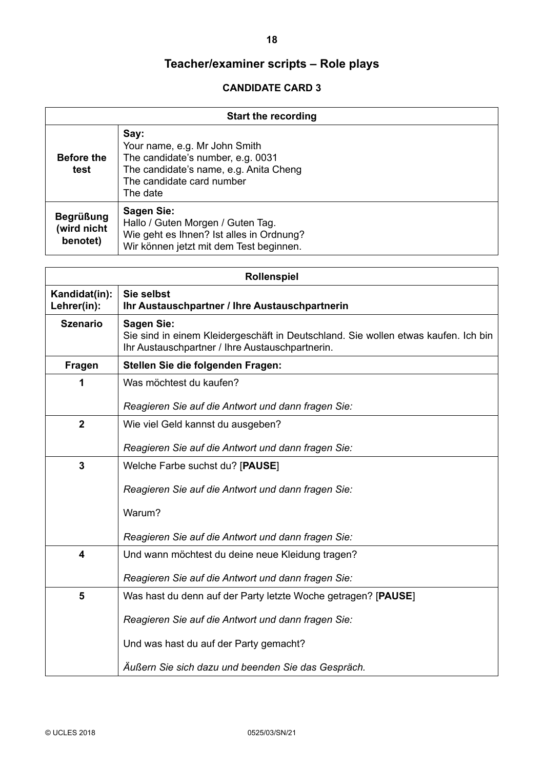| <b>Start the recording</b>                  |                                                                                                                                                               |
|---------------------------------------------|---------------------------------------------------------------------------------------------------------------------------------------------------------------|
| <b>Before the</b><br>test                   | Say:<br>Your name, e.g. Mr John Smith<br>The candidate's number, e.g. 0031<br>The candidate's name, e.g. Anita Cheng<br>The candidate card number<br>The date |
| <b>Begrüßung</b><br>(wird nicht<br>benotet) | <b>Sagen Sie:</b><br>Hallo / Guten Morgen / Guten Tag.<br>Wie geht es Ihnen? Ist alles in Ordnung?<br>Wir können jetzt mit dem Test beginnen.                 |

| <b>Rollenspiel</b>           |                                                                                                                                                            |
|------------------------------|------------------------------------------------------------------------------------------------------------------------------------------------------------|
| Kandidat(in):<br>Lehrer(in): | Sie selbst<br>Ihr Austauschpartner / Ihre Austauschpartnerin                                                                                               |
| <b>Szenario</b>              | <b>Sagen Sie:</b><br>Sie sind in einem Kleidergeschäft in Deutschland. Sie wollen etwas kaufen. Ich bin<br>Ihr Austauschpartner / Ihre Austauschpartnerin. |
| Fragen                       | Stellen Sie die folgenden Fragen:                                                                                                                          |
| 1                            | Was möchtest du kaufen?                                                                                                                                    |
|                              | Reagieren Sie auf die Antwort und dann fragen Sie:                                                                                                         |
| $\mathbf{2}$                 | Wie viel Geld kannst du ausgeben?                                                                                                                          |
|                              | Reagieren Sie auf die Antwort und dann fragen Sie:                                                                                                         |
| 3                            | Welche Farbe suchst du? [PAUSE]                                                                                                                            |
|                              | Reagieren Sie auf die Antwort und dann fragen Sie:                                                                                                         |
|                              | Warum?                                                                                                                                                     |
|                              | Reagieren Sie auf die Antwort und dann fragen Sie:                                                                                                         |
| 4                            | Und wann möchtest du deine neue Kleidung tragen?                                                                                                           |
|                              | Reagieren Sie auf die Antwort und dann fragen Sie:                                                                                                         |
| 5                            | Was hast du denn auf der Party letzte Woche getragen? [PAUSE]                                                                                              |
|                              | Reagieren Sie auf die Antwort und dann fragen Sie:                                                                                                         |
|                              | Und was hast du auf der Party gemacht?                                                                                                                     |
|                              | Äußern Sie sich dazu und beenden Sie das Gespräch.                                                                                                         |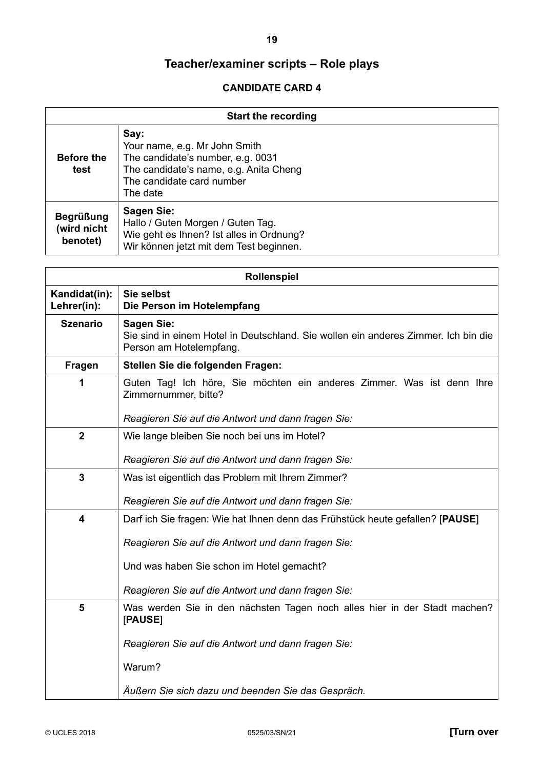**19**

| <b>Start the recording</b>                  |                                                                                                                                                               |
|---------------------------------------------|---------------------------------------------------------------------------------------------------------------------------------------------------------------|
| <b>Before the</b><br>test                   | Say:<br>Your name, e.g. Mr John Smith<br>The candidate's number, e.g. 0031<br>The candidate's name, e.g. Anita Cheng<br>The candidate card number<br>The date |
| <b>Begrüßung</b><br>(wird nicht<br>benotet) | Sagen Sie:<br>Hallo / Guten Morgen / Guten Tag.<br>Wie geht es Ihnen? Ist alles in Ordnung?<br>Wir können jetzt mit dem Test beginnen.                        |

| Rollenspiel                  |                                                                                                                                    |
|------------------------------|------------------------------------------------------------------------------------------------------------------------------------|
| Kandidat(in):<br>Lehrer(in): | Sie selbst<br>Die Person im Hotelempfang                                                                                           |
| <b>Szenario</b>              | <b>Sagen Sie:</b><br>Sie sind in einem Hotel in Deutschland. Sie wollen ein anderes Zimmer. Ich bin die<br>Person am Hotelempfang. |
| <b>Fragen</b>                | Stellen Sie die folgenden Fragen:                                                                                                  |
| 1                            | Guten Tag! Ich höre, Sie möchten ein anderes Zimmer. Was ist denn Ihre<br>Zimmernummer, bitte?                                     |
|                              | Reagieren Sie auf die Antwort und dann fragen Sie:                                                                                 |
| $\overline{2}$               | Wie lange bleiben Sie noch bei uns im Hotel?                                                                                       |
|                              | Reagieren Sie auf die Antwort und dann fragen Sie:                                                                                 |
| 3                            | Was ist eigentlich das Problem mit Ihrem Zimmer?                                                                                   |
|                              | Reagieren Sie auf die Antwort und dann fragen Sie:                                                                                 |
| $\overline{\mathbf{4}}$      | Darf ich Sie fragen: Wie hat Ihnen denn das Frühstück heute gefallen? [PAUSE]                                                      |
|                              | Reagieren Sie auf die Antwort und dann fragen Sie:                                                                                 |
|                              | Und was haben Sie schon im Hotel gemacht?                                                                                          |
|                              | Reagieren Sie auf die Antwort und dann fragen Sie:                                                                                 |
| 5                            | Was werden Sie in den nächsten Tagen noch alles hier in der Stadt machen?<br>[PAUSE]                                               |
|                              | Reagieren Sie auf die Antwort und dann fragen Sie:                                                                                 |
|                              | Warum?                                                                                                                             |
|                              | Äußern Sie sich dazu und beenden Sie das Gespräch.                                                                                 |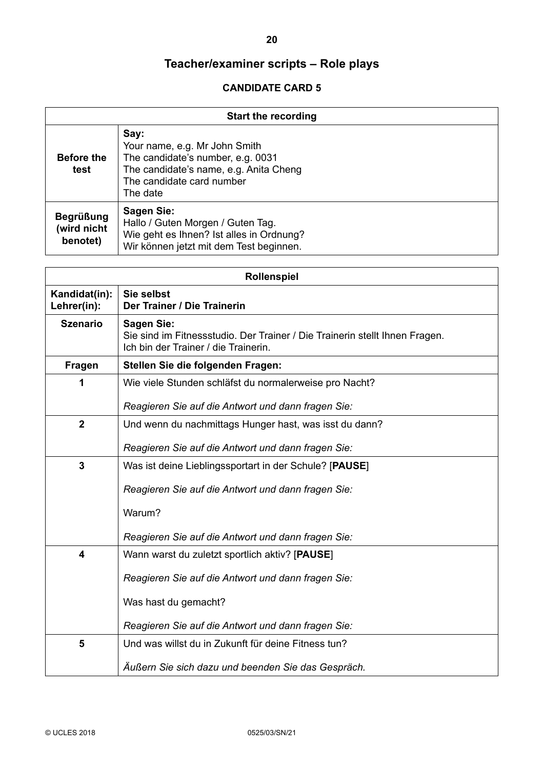| <b>Start the recording</b>                  |                                                                                                                                                               |
|---------------------------------------------|---------------------------------------------------------------------------------------------------------------------------------------------------------------|
| <b>Before the</b><br>test                   | Say:<br>Your name, e.g. Mr John Smith<br>The candidate's number, e.g. 0031<br>The candidate's name, e.g. Anita Cheng<br>The candidate card number<br>The date |
| <b>Begrüßung</b><br>(wird nicht<br>benotet) | Sagen Sie:<br>Hallo / Guten Morgen / Guten Tag.<br>Wie geht es Ihnen? Ist alles in Ordnung?<br>Wir können jetzt mit dem Test beginnen.                        |

| <b>Rollenspiel</b>           |                                                                                                                                          |
|------------------------------|------------------------------------------------------------------------------------------------------------------------------------------|
| Kandidat(in):<br>Lehrer(in): | Sie selbst<br>Der Trainer / Die Trainerin                                                                                                |
| <b>Szenario</b>              | <b>Sagen Sie:</b><br>Sie sind im Fitnessstudio. Der Trainer / Die Trainerin stellt Ihnen Fragen.<br>Ich bin der Trainer / die Trainerin. |
| <b>Fragen</b>                | Stellen Sie die folgenden Fragen:                                                                                                        |
| 1                            | Wie viele Stunden schläfst du normalerweise pro Nacht?                                                                                   |
|                              | Reagieren Sie auf die Antwort und dann fragen Sie:                                                                                       |
| $\overline{2}$               | Und wenn du nachmittags Hunger hast, was isst du dann?                                                                                   |
|                              | Reagieren Sie auf die Antwort und dann fragen Sie:                                                                                       |
| $\mathbf{3}$                 | Was ist deine Lieblingssportart in der Schule? [PAUSE]                                                                                   |
|                              | Reagieren Sie auf die Antwort und dann fragen Sie:                                                                                       |
|                              | Warum?                                                                                                                                   |
|                              | Reagieren Sie auf die Antwort und dann fragen Sie:                                                                                       |
| 4                            | Wann warst du zuletzt sportlich aktiv? [PAUSE]                                                                                           |
|                              | Reagieren Sie auf die Antwort und dann fragen Sie:                                                                                       |
|                              | Was hast du gemacht?                                                                                                                     |
|                              | Reagieren Sie auf die Antwort und dann fragen Sie:                                                                                       |
| 5                            | Und was willst du in Zukunft für deine Fitness tun?                                                                                      |
|                              | Außern Sie sich dazu und beenden Sie das Gespräch.                                                                                       |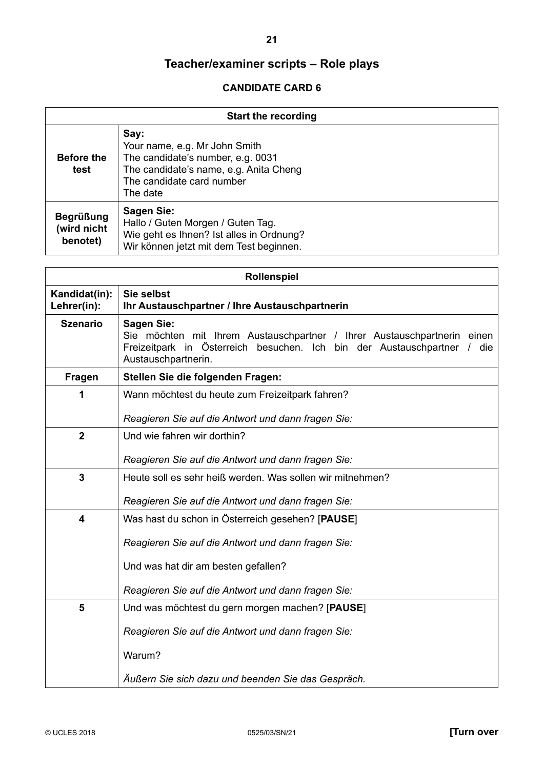**21**

| <b>Start the recording</b>                  |                                                                                                                                                               |
|---------------------------------------------|---------------------------------------------------------------------------------------------------------------------------------------------------------------|
| <b>Before the</b><br>test                   | Say:<br>Your name, e.g. Mr John Smith<br>The candidate's number, e.g. 0031<br>The candidate's name, e.g. Anita Cheng<br>The candidate card number<br>The date |
| <b>Begrüßung</b><br>(wird nicht<br>benotet) | <b>Sagen Sie:</b><br>Hallo / Guten Morgen / Guten Tag.<br>Wie geht es Ihnen? Ist alles in Ordnung?<br>Wir können jetzt mit dem Test beginnen.                 |

| <b>Rollenspiel</b>           |                                                                                                                                                                                                |
|------------------------------|------------------------------------------------------------------------------------------------------------------------------------------------------------------------------------------------|
| Kandidat(in):<br>Lehrer(in): | Sie selbst<br>Ihr Austauschpartner / Ihre Austauschpartnerin                                                                                                                                   |
| <b>Szenario</b>              | <b>Sagen Sie:</b><br>Sie möchten mit Ihrem Austauschpartner / Ihrer Austauschpartnerin einen<br>Freizeitpark in Österreich besuchen. Ich bin der Austauschpartner / die<br>Austauschpartnerin. |
| Fragen                       | Stellen Sie die folgenden Fragen:                                                                                                                                                              |
| 1                            | Wann möchtest du heute zum Freizeitpark fahren?                                                                                                                                                |
|                              | Reagieren Sie auf die Antwort und dann fragen Sie:                                                                                                                                             |
| $\overline{2}$               | Und wie fahren wir dorthin?                                                                                                                                                                    |
|                              | Reagieren Sie auf die Antwort und dann fragen Sie:                                                                                                                                             |
| 3                            | Heute soll es sehr heiß werden. Was sollen wir mitnehmen?                                                                                                                                      |
|                              | Reagieren Sie auf die Antwort und dann fragen Sie:                                                                                                                                             |
| 4                            | Was hast du schon in Österreich gesehen? [PAUSE]                                                                                                                                               |
|                              | Reagieren Sie auf die Antwort und dann fragen Sie:                                                                                                                                             |
|                              | Und was hat dir am besten gefallen?                                                                                                                                                            |
|                              | Reagieren Sie auf die Antwort und dann fragen Sie:                                                                                                                                             |
| 5                            | Und was möchtest du gern morgen machen? [PAUSE]                                                                                                                                                |
|                              | Reagieren Sie auf die Antwort und dann fragen Sie:                                                                                                                                             |
|                              | Warum?                                                                                                                                                                                         |
|                              |                                                                                                                                                                                                |
|                              | Außern Sie sich dazu und beenden Sie das Gespräch.                                                                                                                                             |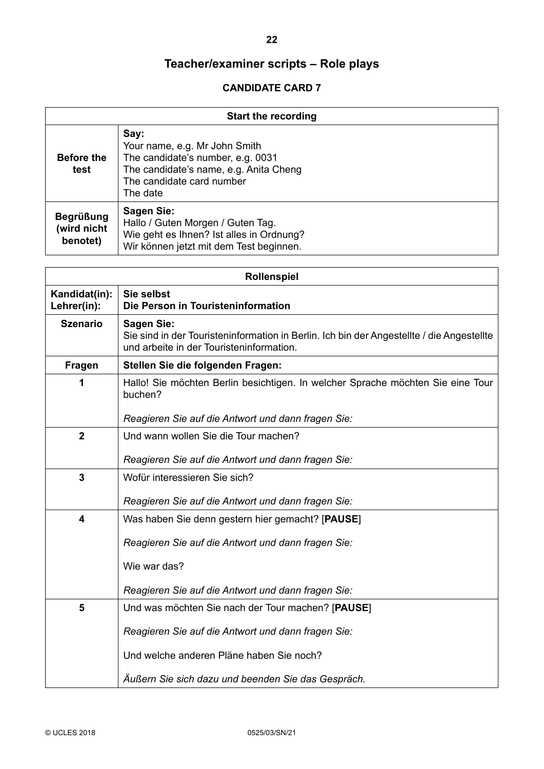| <b>Start the recording</b>                  |                                                                                                                                                               |  |
|---------------------------------------------|---------------------------------------------------------------------------------------------------------------------------------------------------------------|--|
| <b>Before the</b><br>test                   | Say:<br>Your name, e.g. Mr John Smith<br>The candidate's number, e.g. 0031<br>The candidate's name, e.g. Anita Cheng<br>The candidate card number<br>The date |  |
| <b>Begrüßung</b><br>(wird nicht<br>benotet) | Sagen Sie:<br>Hallo / Guten Morgen / Guten Tag.<br>Wie geht es Ihnen? Ist alles in Ordnung?<br>Wir können jetzt mit dem Test beginnen.                        |  |

|                              | <b>Rollenspiel</b>                                                                                                                                         |  |  |
|------------------------------|------------------------------------------------------------------------------------------------------------------------------------------------------------|--|--|
| Kandidat(in):<br>Lehrer(in): | Sie selbst<br>Die Person in Touristeninformation                                                                                                           |  |  |
| <b>Szenario</b>              | <b>Sagen Sie:</b><br>Sie sind in der Touristeninformation in Berlin. Ich bin der Angestellte / die Angestellte<br>und arbeite in der Touristeninformation. |  |  |
| <b>Fragen</b>                | Stellen Sie die folgenden Fragen:                                                                                                                          |  |  |
| 1                            | Hallo! Sie möchten Berlin besichtigen. In welcher Sprache möchten Sie eine Tour<br>buchen?                                                                 |  |  |
|                              | Reagieren Sie auf die Antwort und dann fragen Sie:                                                                                                         |  |  |
| $\overline{2}$               | Und wann wollen Sie die Tour machen?                                                                                                                       |  |  |
|                              | Reagieren Sie auf die Antwort und dann fragen Sie:                                                                                                         |  |  |
| $\mathbf{3}$                 | Wofür interessieren Sie sich?                                                                                                                              |  |  |
|                              | Reagieren Sie auf die Antwort und dann fragen Sie:                                                                                                         |  |  |
| 4                            | Was haben Sie denn gestern hier gemacht? [PAUSE]                                                                                                           |  |  |
|                              | Reagieren Sie auf die Antwort und dann fragen Sie:                                                                                                         |  |  |
|                              | Wie war das?                                                                                                                                               |  |  |
|                              | Reagieren Sie auf die Antwort und dann fragen Sie:                                                                                                         |  |  |
| 5                            | Und was möchten Sie nach der Tour machen? [PAUSE]                                                                                                          |  |  |
|                              | Reagieren Sie auf die Antwort und dann fragen Sie:                                                                                                         |  |  |
|                              | Und welche anderen Pläne haben Sie noch?                                                                                                                   |  |  |
|                              | Äußern Sie sich dazu und beenden Sie das Gespräch.                                                                                                         |  |  |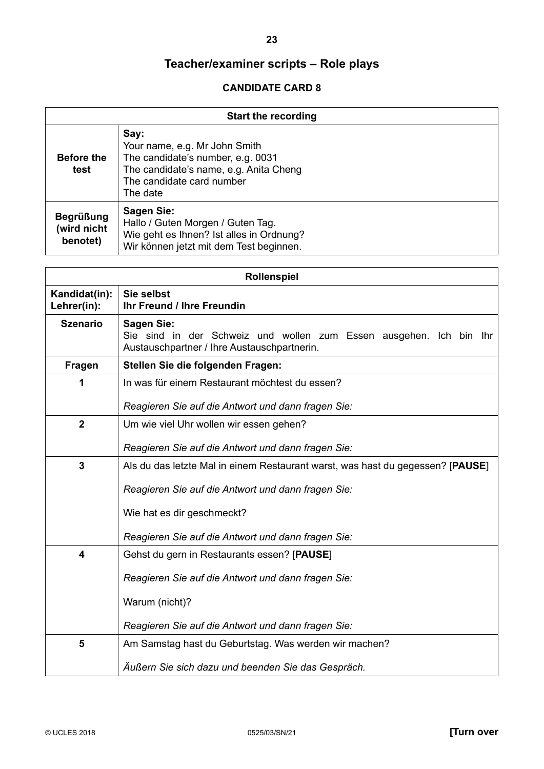| <b>Start the recording</b>                  |                                                                                                                                                               |  |
|---------------------------------------------|---------------------------------------------------------------------------------------------------------------------------------------------------------------|--|
| <b>Before the</b><br>test                   | Say:<br>Your name, e.g. Mr John Smith<br>The candidate's number, e.g. 0031<br>The candidate's name, e.g. Anita Cheng<br>The candidate card number<br>The date |  |
| <b>Begrüßung</b><br>(wird nicht<br>benotet) | Sagen Sie:<br>Hallo / Guten Morgen / Guten Tag.<br>Wie geht es Ihnen? Ist alles in Ordnung?<br>Wir können jetzt mit dem Test beginnen.                        |  |

| Rollenspiel                  |                                                                                                                                        |  |  |
|------------------------------|----------------------------------------------------------------------------------------------------------------------------------------|--|--|
| Kandidat(in):<br>Lehrer(in): | Sie selbst<br><b>Ihr Freund / Ihre Freundin</b>                                                                                        |  |  |
| <b>Szenario</b>              | <b>Sagen Sie:</b><br>Sie sind in der Schweiz und wollen zum Essen ausgehen. Ich bin Ihr<br>Austauschpartner / Ihre Austauschpartnerin. |  |  |
| Fragen                       | Stellen Sie die folgenden Fragen:                                                                                                      |  |  |
| 1                            | In was für einem Restaurant möchtest du essen?                                                                                         |  |  |
|                              | Reagieren Sie auf die Antwort und dann fragen Sie:                                                                                     |  |  |
| $\overline{2}$               | Um wie viel Uhr wollen wir essen gehen?                                                                                                |  |  |
|                              | Reagieren Sie auf die Antwort und dann fragen Sie:                                                                                     |  |  |
| 3                            | Als du das letzte Mal in einem Restaurant warst, was hast du gegessen? [PAUSE]                                                         |  |  |
|                              | Reagieren Sie auf die Antwort und dann fragen Sie:                                                                                     |  |  |
|                              | Wie hat es dir geschmeckt?                                                                                                             |  |  |
|                              | Reagieren Sie auf die Antwort und dann fragen Sie:                                                                                     |  |  |
| 4                            | Gehst du gern in Restaurants essen? [PAUSE]                                                                                            |  |  |
|                              | Reagieren Sie auf die Antwort und dann fragen Sie:                                                                                     |  |  |
|                              | Warum (nicht)?                                                                                                                         |  |  |
|                              | Reagieren Sie auf die Antwort und dann fragen Sie:                                                                                     |  |  |
| 5                            | Am Samstag hast du Geburtstag. Was werden wir machen?                                                                                  |  |  |
|                              | Äußern Sie sich dazu und beenden Sie das Gespräch.                                                                                     |  |  |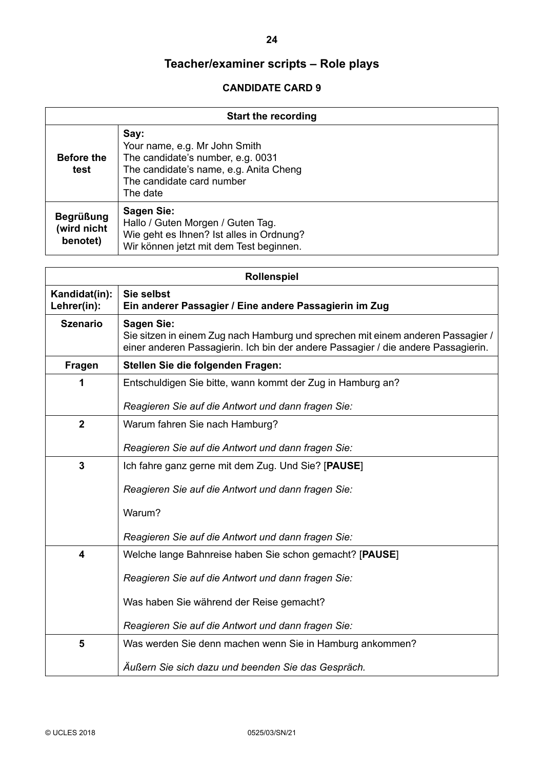| <b>Start the recording</b>                  |                                                                                                                                                               |  |
|---------------------------------------------|---------------------------------------------------------------------------------------------------------------------------------------------------------------|--|
| <b>Before the</b><br>test                   | Say:<br>Your name, e.g. Mr John Smith<br>The candidate's number, e.g. 0031<br>The candidate's name, e.g. Anita Cheng<br>The candidate card number<br>The date |  |
| <b>Begrüßung</b><br>(wird nicht<br>benotet) | Sagen Sie:<br>Hallo / Guten Morgen / Guten Tag.<br>Wie geht es Ihnen? Ist alles in Ordnung?<br>Wir können jetzt mit dem Test beginnen.                        |  |

| <b>Rollenspiel</b>                                      |                                                                                                                                                                                           |  |  |
|---------------------------------------------------------|-------------------------------------------------------------------------------------------------------------------------------------------------------------------------------------------|--|--|
| Kandidat(in):<br>Lehrer(in):                            | Sie selbst<br>Ein anderer Passagier / Eine andere Passagierin im Zug                                                                                                                      |  |  |
| <b>Szenario</b>                                         | <b>Sagen Sie:</b><br>Sie sitzen in einem Zug nach Hamburg und sprechen mit einem anderen Passagier /<br>einer anderen Passagierin. Ich bin der andere Passagier / die andere Passagierin. |  |  |
| Fragen                                                  | Stellen Sie die folgenden Fragen:                                                                                                                                                         |  |  |
| 1                                                       | Entschuldigen Sie bitte, wann kommt der Zug in Hamburg an?                                                                                                                                |  |  |
|                                                         | Reagieren Sie auf die Antwort und dann fragen Sie:                                                                                                                                        |  |  |
| $\overline{2}$                                          | Warum fahren Sie nach Hamburg?                                                                                                                                                            |  |  |
|                                                         | Reagieren Sie auf die Antwort und dann fragen Sie:                                                                                                                                        |  |  |
| 3<br>Ich fahre ganz gerne mit dem Zug. Und Sie? [PAUSE] |                                                                                                                                                                                           |  |  |
|                                                         | Reagieren Sie auf die Antwort und dann fragen Sie:                                                                                                                                        |  |  |
|                                                         | Warum?                                                                                                                                                                                    |  |  |
|                                                         | Reagieren Sie auf die Antwort und dann fragen Sie:                                                                                                                                        |  |  |
| 4                                                       | Welche lange Bahnreise haben Sie schon gemacht? [PAUSE]                                                                                                                                   |  |  |
|                                                         | Reagieren Sie auf die Antwort und dann fragen Sie:                                                                                                                                        |  |  |
|                                                         | Was haben Sie während der Reise gemacht?                                                                                                                                                  |  |  |
|                                                         | Reagieren Sie auf die Antwort und dann fragen Sie:                                                                                                                                        |  |  |
| 5                                                       | Was werden Sie denn machen wenn Sie in Hamburg ankommen?                                                                                                                                  |  |  |
|                                                         | Äußern Sie sich dazu und beenden Sie das Gespräch.                                                                                                                                        |  |  |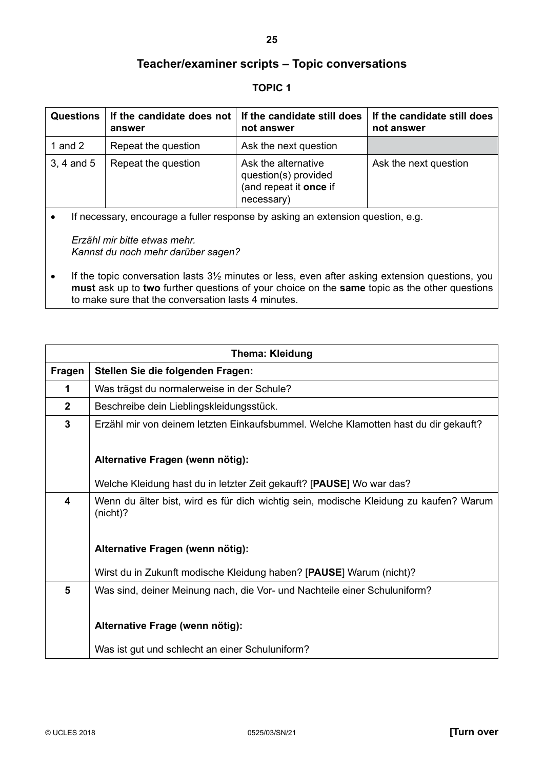#### **TOPIC 1**

<span id="page-24-0"></span>

| <b>Questions</b> | If the candidate does not<br>answer | If the candidate still does<br>not answer                                           | If the candidate still does<br>not answer |
|------------------|-------------------------------------|-------------------------------------------------------------------------------------|-------------------------------------------|
| 1 and 2          | Repeat the question                 | Ask the next question                                                               |                                           |
| $3, 4$ and $5$   | Repeat the question                 | Ask the alternative<br>question(s) provided<br>(and repeat it once if<br>necessary) | Ask the next question                     |

• If necessary, encourage a fuller response by asking an extension question, e.g.

*Erzähl mir bitte etwas mehr. Kannst du noch mehr darüber sagen?*

• If the topic conversation lasts 3<sup>1</sup>/<sub>2</sub> minutes or less, even after asking extension questions, you **must** ask up to **two** further questions of your choice on the **same** topic as the other questions to make sure that the conversation lasts 4 minutes.

|               | <b>Thema: Kleidung</b>                                                                               |  |
|---------------|------------------------------------------------------------------------------------------------------|--|
| <b>Fragen</b> | Stellen Sie die folgenden Fragen:                                                                    |  |
| 1             | Was trägst du normalerweise in der Schule?                                                           |  |
| $2^{\circ}$   | Beschreibe dein Lieblingskleidungsstück.                                                             |  |
| 3             | Erzähl mir von deinem letzten Einkaufsbummel. Welche Klamotten hast du dir gekauft?                  |  |
|               | Alternative Fragen (wenn nötig):                                                                     |  |
|               | Welche Kleidung hast du in letzter Zeit gekauft? [PAUSE] Wo war das?                                 |  |
| 4             | Wenn du älter bist, wird es für dich wichtig sein, modische Kleidung zu kaufen? Warum<br>$(nicht)$ ? |  |
|               | Alternative Fragen (wenn nötig):                                                                     |  |
|               | Wirst du in Zukunft modische Kleidung haben? [PAUSE] Warum (nicht)?                                  |  |
| 5             | Was sind, deiner Meinung nach, die Vor- und Nachteile einer Schuluniform?                            |  |
|               | Alternative Frage (wenn nötig):                                                                      |  |
|               | Was ist gut und schlecht an einer Schuluniform?                                                      |  |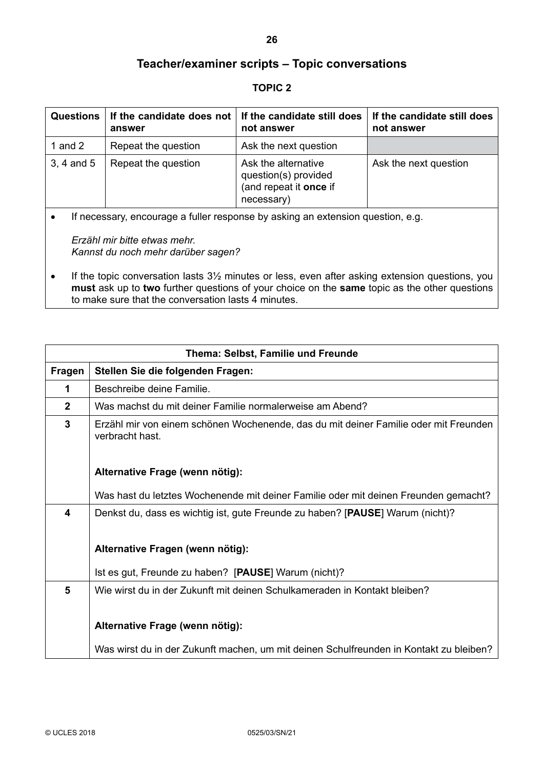#### **TOPIC 2**

| <b>Questions</b> | answer              | If the candidate does not $\vert$ If the candidate still does<br>not answer         | If the candidate still does<br>not answer |
|------------------|---------------------|-------------------------------------------------------------------------------------|-------------------------------------------|
| 1 and 2          | Repeat the question | Ask the next question                                                               |                                           |
| 3, 4 and 5       | Repeat the question | Ask the alternative<br>question(s) provided<br>(and repeat it once if<br>necessary) | Ask the next question                     |

• If necessary, encourage a fuller response by asking an extension question, e.g.

*Erzähl mir bitte etwas mehr. Kannst du noch mehr darüber sagen?*

• If the topic conversation lasts 3<sup>1/2</sup> minutes or less, even after asking extension questions, you **must** ask up to **two** further questions of your choice on the **same** topic as the other questions to make sure that the conversation lasts 4 minutes.

|               | Thema: Selbst, Familie und Freunde                                                                      |  |
|---------------|---------------------------------------------------------------------------------------------------------|--|
| <b>Fragen</b> | Stellen Sie die folgenden Fragen:                                                                       |  |
| 1             | Beschreibe deine Familie.                                                                               |  |
| $\mathbf{2}$  | Was machst du mit deiner Familie normalerweise am Abend?                                                |  |
| 3             | Erzähl mir von einem schönen Wochenende, das du mit deiner Familie oder mit Freunden<br>verbracht hast. |  |
|               | Alternative Frage (wenn nötig):                                                                         |  |
|               | Was hast du letztes Wochenende mit deiner Familie oder mit deinen Freunden gemacht?                     |  |
| 4             | Denkst du, dass es wichtig ist, gute Freunde zu haben? [PAUSE] Warum (nicht)?                           |  |
|               | Alternative Fragen (wenn nötig):                                                                        |  |
|               | Ist es gut, Freunde zu haben? [PAUSE] Warum (nicht)?                                                    |  |
| 5             | Wie wirst du in der Zukunft mit deinen Schulkameraden in Kontakt bleiben?                               |  |
|               | Alternative Frage (wenn nötig):                                                                         |  |
|               | Was wirst du in der Zukunft machen, um mit deinen Schulfreunden in Kontakt zu bleiben?                  |  |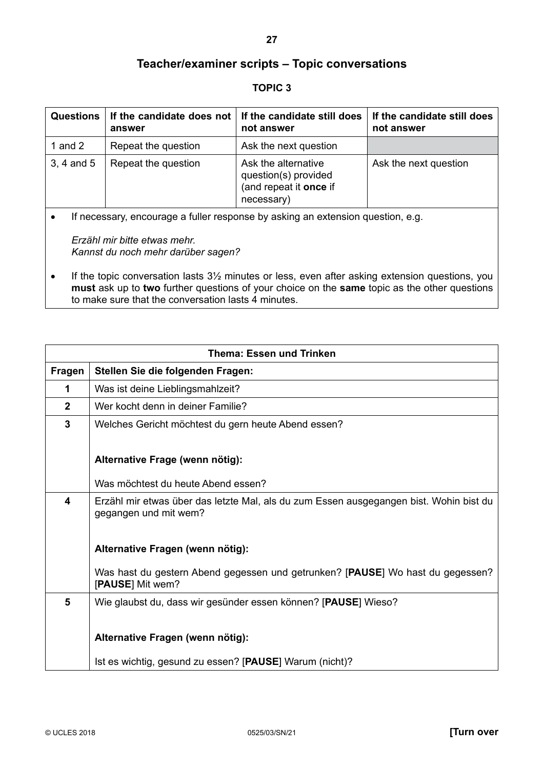#### **TOPIC 3**

| <b>Questions</b> | If the candidate does not  <br>answer | If the candidate still does<br>not answer                                           | If the candidate still does<br>not answer |
|------------------|---------------------------------------|-------------------------------------------------------------------------------------|-------------------------------------------|
| 1 and 2          | Repeat the question                   | Ask the next question                                                               |                                           |
| 3, 4 and 5       | Repeat the question                   | Ask the alternative<br>question(s) provided<br>(and repeat it once if<br>necessary) | Ask the next question                     |

• If necessary, encourage a fuller response by asking an extension question, e.g.

*Erzähl mir bitte etwas mehr. Kannst du noch mehr darüber sagen?*

• If the topic conversation lasts 3<sup>1</sup>/<sub>2</sub> minutes or less, even after asking extension questions, you **must** ask up to **two** further questions of your choice on the **same** topic as the other questions to make sure that the conversation lasts 4 minutes.

|                | <b>Thema: Essen und Trinken</b>                                                                    |
|----------------|----------------------------------------------------------------------------------------------------|
| Fragen         | Stellen Sie die folgenden Fragen:                                                                  |
| 1              | Was ist deine Lieblingsmahlzeit?                                                                   |
| $\overline{2}$ | Wer kocht denn in deiner Familie?                                                                  |
| $\mathbf{3}$   | Welches Gericht möchtest du gern heute Abend essen?                                                |
|                |                                                                                                    |
|                | Alternative Frage (wenn nötig):                                                                    |
|                | Was möchtest du heute Abend essen?                                                                 |
| 4              | Erzähl mir etwas über das letzte Mal, als du zum Essen ausgegangen bist. Wohin bist du             |
|                | gegangen und mit wem?                                                                              |
|                |                                                                                                    |
|                | Alternative Fragen (wenn nötig):                                                                   |
|                |                                                                                                    |
|                | Was hast du gestern Abend gegessen und getrunken? [PAUSE] Wo hast du gegessen?<br>[PAUSE] Mit wem? |
| 5              | Wie glaubst du, dass wir gesünder essen können? [PAUSE] Wieso?                                     |
|                |                                                                                                    |
|                | Alternative Fragen (wenn nötig):                                                                   |
|                |                                                                                                    |
|                | Ist es wichtig, gesund zu essen? [PAUSE] Warum (nicht)?                                            |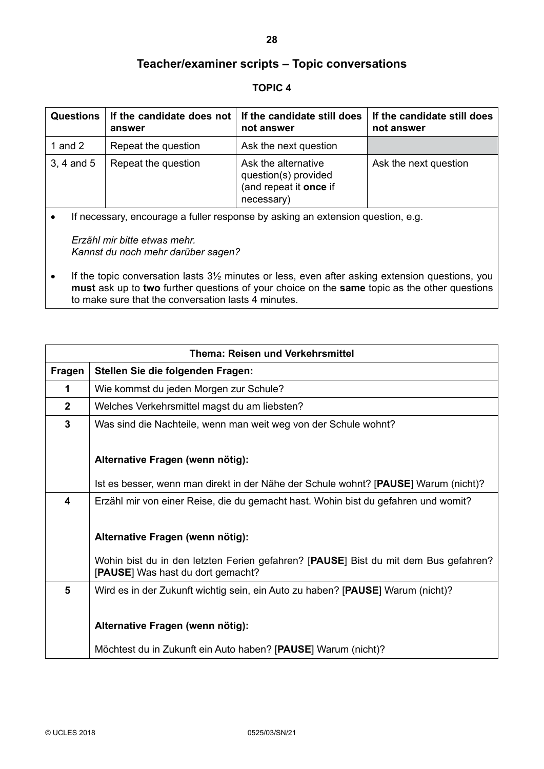#### **TOPIC 4**

| <b>Questions</b> | answer              | If the candidate does not $\vert$ If the candidate still does<br>not answer         | If the candidate still does<br>not answer |
|------------------|---------------------|-------------------------------------------------------------------------------------|-------------------------------------------|
| 1 and 2          | Repeat the question | Ask the next question                                                               |                                           |
| 3, 4 and 5       | Repeat the question | Ask the alternative<br>question(s) provided<br>(and repeat it once if<br>necessary) | Ask the next question                     |

• If necessary, encourage a fuller response by asking an extension question, e.g.

*Erzähl mir bitte etwas mehr. Kannst du noch mehr darüber sagen?*

• If the topic conversation lasts 3<sup>1/2</sup> minutes or less, even after asking extension questions, you **must** ask up to **two** further questions of your choice on the **same** topic as the other questions to make sure that the conversation lasts 4 minutes.

|                | <b>Thema: Reisen und Verkehrsmittel</b>                                                                                  |
|----------------|--------------------------------------------------------------------------------------------------------------------------|
| Fragen         | Stellen Sie die folgenden Fragen:                                                                                        |
| 1              | Wie kommst du jeden Morgen zur Schule?                                                                                   |
| $\overline{2}$ | Welches Verkehrsmittel magst du am liebsten?                                                                             |
| $\mathbf{3}$   | Was sind die Nachteile, wenn man weit weg von der Schule wohnt?                                                          |
|                | Alternative Fragen (wenn nötig):                                                                                         |
|                | Ist es besser, wenn man direkt in der Nähe der Schule wohnt? [PAUSE] Warum (nicht)?                                      |
| 4              | Erzähl mir von einer Reise, die du gemacht hast. Wohin bist du gefahren und womit?                                       |
|                | Alternative Fragen (wenn nötig):                                                                                         |
|                | Wohin bist du in den letzten Ferien gefahren? [PAUSE] Bist du mit dem Bus gefahren?<br>[PAUSE] Was hast du dort gemacht? |
| 5              | Wird es in der Zukunft wichtig sein, ein Auto zu haben? [PAUSE] Warum (nicht)?                                           |
|                | Alternative Fragen (wenn nötig):                                                                                         |
|                | Möchtest du in Zukunft ein Auto haben? [PAUSE] Warum (nicht)?                                                            |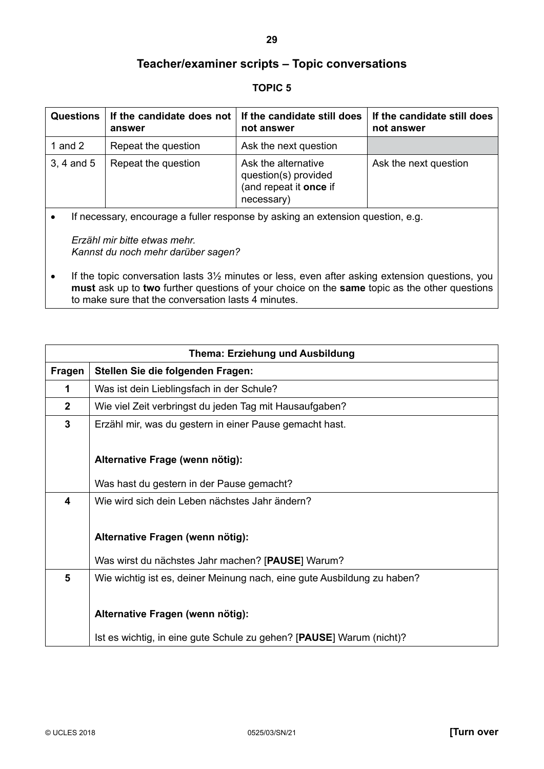#### **TOPIC 5**

| <b>Questions</b> | If the candidate does not $\vert$ If the candidate still does<br>answer | not answer                                                                          | If the candidate still does<br>not answer |
|------------------|-------------------------------------------------------------------------|-------------------------------------------------------------------------------------|-------------------------------------------|
| 1 and $2$        | Repeat the question                                                     | Ask the next question                                                               |                                           |
| 3, 4 and 5       | Repeat the question                                                     | Ask the alternative<br>question(s) provided<br>(and repeat it once if<br>necessary) | Ask the next question                     |

• If necessary, encourage a fuller response by asking an extension question, e.g.

*Erzähl mir bitte etwas mehr. Kannst du noch mehr darüber sagen?*

• If the topic conversation lasts 3<sup>1</sup>/<sub>2</sub> minutes or less, even after asking extension questions, you **must** ask up to **two** further questions of your choice on the **same** topic as the other questions to make sure that the conversation lasts 4 minutes.

| <b>Thema: Erziehung und Ausbildung</b> |                                                                         |  |
|----------------------------------------|-------------------------------------------------------------------------|--|
| <b>Fragen</b>                          | Stellen Sie die folgenden Fragen:                                       |  |
| 1                                      | Was ist dein Lieblingsfach in der Schule?                               |  |
| $\mathbf{2}$                           | Wie viel Zeit verbringst du jeden Tag mit Hausaufgaben?                 |  |
| $\mathbf{3}$                           | Erzähl mir, was du gestern in einer Pause gemacht hast.                 |  |
|                                        |                                                                         |  |
|                                        | Alternative Frage (wenn nötig):                                         |  |
|                                        | Was hast du gestern in der Pause gemacht?                               |  |
| 4                                      | Wie wird sich dein Leben nächstes Jahr ändern?                          |  |
|                                        |                                                                         |  |
|                                        | Alternative Fragen (wenn nötig):                                        |  |
|                                        | Was wirst du nächstes Jahr machen? [PAUSE] Warum?                       |  |
| 5                                      | Wie wichtig ist es, deiner Meinung nach, eine gute Ausbildung zu haben? |  |
|                                        |                                                                         |  |
|                                        | Alternative Fragen (wenn nötig):                                        |  |
|                                        | Ist es wichtig, in eine gute Schule zu gehen? [PAUSE] Warum (nicht)?    |  |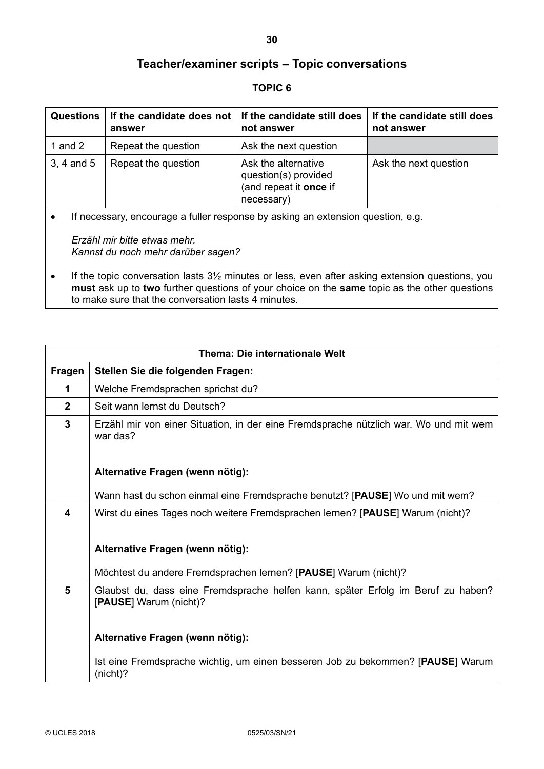#### **TOPIC 6**

| <b>Questions</b> | If the candidate does not $\vert$ If the candidate still does<br>answer | not answer                                                                          | If the candidate still does<br>not answer |
|------------------|-------------------------------------------------------------------------|-------------------------------------------------------------------------------------|-------------------------------------------|
| 1 and $2$        | Repeat the question                                                     | Ask the next question                                                               |                                           |
| 3, 4 and 5       | Repeat the question                                                     | Ask the alternative<br>question(s) provided<br>(and repeat it once if<br>necessary) | Ask the next question                     |

• If necessary, encourage a fuller response by asking an extension question, e.g.

*Erzähl mir bitte etwas mehr. Kannst du noch mehr darüber sagen?*

• If the topic conversation lasts 3<sup>1/2</sup> minutes or less, even after asking extension questions, you **must** ask up to **two** further questions of your choice on the **same** topic as the other questions to make sure that the conversation lasts 4 minutes.

| <b>Thema: Die internationale Welt</b> |                                                                                                            |  |
|---------------------------------------|------------------------------------------------------------------------------------------------------------|--|
| <b>Fragen</b>                         | Stellen Sie die folgenden Fragen:                                                                          |  |
| 1                                     | Welche Fremdsprachen sprichst du?                                                                          |  |
| $\overline{2}$                        | Seit wann lernst du Deutsch?                                                                               |  |
| $\mathbf{3}$                          | Erzähl mir von einer Situation, in der eine Fremdsprache nützlich war. Wo und mit wem<br>war das?          |  |
|                                       | Alternative Fragen (wenn nötig):                                                                           |  |
|                                       | Wann hast du schon einmal eine Fremdsprache benutzt? [PAUSE] Wo und mit wem?                               |  |
| 4                                     | Wirst du eines Tages noch weitere Fremdsprachen lernen? [PAUSE] Warum (nicht)?                             |  |
|                                       | Alternative Fragen (wenn nötig):                                                                           |  |
|                                       | Möchtest du andere Fremdsprachen lernen? [PAUSE] Warum (nicht)?                                            |  |
| 5                                     | Glaubst du, dass eine Fremdsprache helfen kann, später Erfolg im Beruf zu haben?<br>[PAUSE] Warum (nicht)? |  |
|                                       | Alternative Fragen (wenn nötig):                                                                           |  |
|                                       | Ist eine Fremdsprache wichtig, um einen besseren Job zu bekommen? [PAUSE] Warum<br>(nicht)?                |  |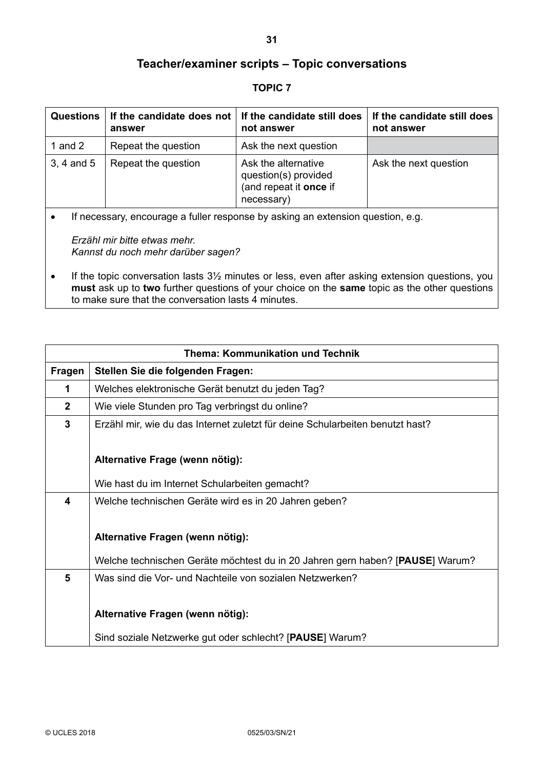#### **TOPIC 7**

| <b>Questions</b> | answer              | If the candidate does not $\vert$ If the candidate still does<br>not answer         | If the candidate still does<br>not answer |
|------------------|---------------------|-------------------------------------------------------------------------------------|-------------------------------------------|
| 1 and $2$        | Repeat the question | Ask the next question                                                               |                                           |
| $3, 4$ and $5$   | Repeat the question | Ask the alternative<br>question(s) provided<br>(and repeat it once if<br>necessary) | Ask the next question                     |

• If necessary, encourage a fuller response by asking an extension question, e.g.

*Erzähl mir bitte etwas mehr. Kannst du noch mehr darüber sagen?*

• If the topic conversation lasts 3<sup>1/2</sup> minutes or less, even after asking extension questions, you **must** ask up to **two** further questions of your choice on the **same** topic as the other questions to make sure that the conversation lasts 4 minutes.

| <b>Thema: Kommunikation und Technik</b> |                                                                               |  |
|-----------------------------------------|-------------------------------------------------------------------------------|--|
| <b>Fragen</b>                           | Stellen Sie die folgenden Fragen:                                             |  |
| 1                                       | Welches elektronische Gerät benutzt du jeden Tag?                             |  |
| $\mathbf{2}$                            | Wie viele Stunden pro Tag verbringst du online?                               |  |
| 3                                       | Erzähl mir, wie du das Internet zuletzt für deine Schularbeiten benutzt hast? |  |
|                                         |                                                                               |  |
|                                         | Alternative Frage (wenn nötig):                                               |  |
|                                         | Wie hast du im Internet Schularbeiten gemacht?                                |  |
| 4                                       | Welche technischen Geräte wird es in 20 Jahren geben?                         |  |
|                                         |                                                                               |  |
|                                         | Alternative Fragen (wenn nötig):                                              |  |
|                                         | Welche technischen Geräte möchtest du in 20 Jahren gern haben? [PAUSE] Warum? |  |
| 5                                       | Was sind die Vor- und Nachteile von sozialen Netzwerken?                      |  |
|                                         |                                                                               |  |
|                                         | Alternative Fragen (wenn nötig):                                              |  |
|                                         | Sind soziale Netzwerke gut oder schlecht? [PAUSE] Warum?                      |  |